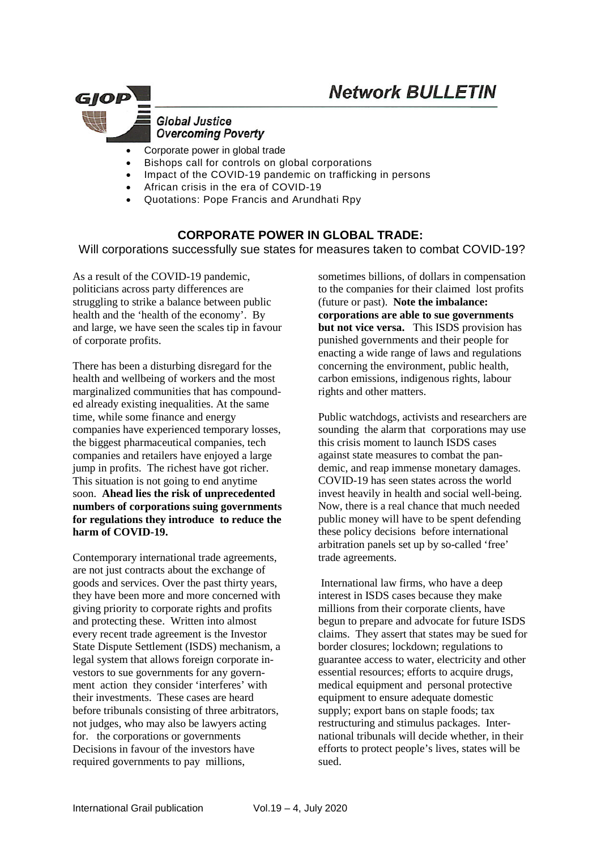

#### **Global Justice Overcoming Poverty**

- Corporate power in global trade
- Bishops call for controls on global corporations
- Impact of the COVID-19 pandemic on trafficking in persons
- African crisis in the era of COVID-19
- Quotations: Pope Francis and Arundhati Rpy

## **CORPORATE POWER IN GLOBAL TRADE:**

Will corporations successfully sue states for measures taken to combat COVID-19?

As a result of the COVID-19 pandemic, politicians across party differences are struggling to strike a balance between public health and the 'health of the economy'. By and large, [we have seen the scales tip in favour](https://www.ctvnews.ca/health/coronavirus/trudeau-and-premiers-agree-this-is-what-s-necessary-for-provinces-to-start-reopening-1.4915797)  of [corporate profits.](https://www.ctvnews.ca/health/coronavirus/trudeau-and-premiers-agree-this-is-what-s-necessary-for-provinces-to-start-reopening-1.4915797)

There has been a disturbing disregard for the health and wellbeing of workers and the most marginalized communities that has compounded already existing inequalities. At the same time, while some finance and energy companies have [experienced temporary losses,](https://www.ft.com/content/1d52d243-c5f1-4725-9ea5-8ddda14a5fe8) the biggest pharmaceutical companies, tech companies and retailers [have enjoyed a large](https://www.ft.com/content/844ed28c-8074-4856-bde0-20f3bf4cd8f0)  [jump in profits.](https://www.ft.com/content/844ed28c-8074-4856-bde0-20f3bf4cd8f0) [The richest have got richer.](https://www.businessinsider.com/billionaires-got-565-billion-richer-during-the-coronavirus-pandemic-2020-6) This situation is not going to end anytime soon. **Ahead lies the risk of unprecedented numbers of corporations suing governments for regulations they introduce to reduce the harm of COVID-19.**

Contemporary international trade agreements, are not just contracts about the exchange of goods and services. Over the past thirty years, they have been more and more concerned with giving priority to corporate rights and profits and protecting these. Written into almost every recent trade agreement is the Investor State Dispute Settlement (ISDS) mechanism, a legal system that allows foreign corporate investors to sue governments for any government action they consider 'interferes' with their investments. These cases are heard before tribunals consisting of three arbitrators, not judges, who may also be lawyers acting for. the corporations or governments Decisions in favour of the investors have required governments to pay millions,

sometimes billions, of dollars in compensation to the companies for their claimed lost profits (future or past). **Note the imbalance: corporations are able to sue governments but not vice versa.** This ISDS provision has punished governments and their people for enacting a wide range of laws and regulations concerning the environment, public health, carbon emissions, indigenous rights, labour rights and other matters.

Public watchdogs, activists and researchers are sounding the alarm that corporations may use this crisis moment to launch ISDS cases against state measures to combat the pandemic, and reap immense monetary damages. COVID-19 has seen states across the world invest heavily in health and social well-being. Now, there is a real chance that much needed public money will have to be spent defending these policy decisions before international arbitration panels set up by so-called 'free' trade agreements.

International law firms, who have a deep interest in ISDS cases because they make millions from their corporate clients, have begun to prepare and advocate for future ISDS claims. They assert that states may be sued for border closures; lockdown; regulations to guarantee access to water, electricity and other essential resources; efforts to acquire drugs, medical equipment and personal protective equipment to ensure adequate domestic supply; export bans on staple foods; tax restructuring and stimulus packages. International tribunals will decide whether, in their efforts to protect people's lives, states will be sued.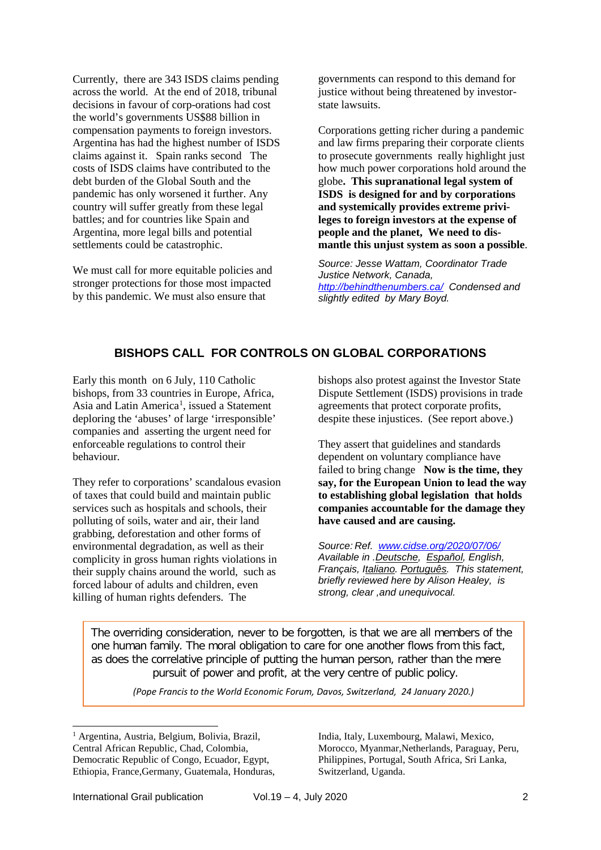[Currently, there are 343 ISDS claims pending](https://longreads.tni.org/pandemic-profiteers)  [across the world. At the end of 2018, tribunal](https://longreads.tni.org/pandemic-profiteers)  decisions in favour [of corp-orations had cost](https://longreads.tni.org/pandemic-profiteers)  [the world's governments US\\$88 billion in](https://longreads.tni.org/pandemic-profiteers)  [compensation payments to foreign investors.](https://longreads.tni.org/pandemic-profiteers) Argentina has had the highest number of ISDS claims against it. Spain ranks second The costs of ISDS claims have contributed to the debt burden of the Global South and the pandemic has only worsened it further. Any country will suffer greatly from these legal battles; and for countries like Spain and Argentina, more legal bills and potential settlements could be catastrophic.

We must call for more equitable policies and stronger protections for those most impacted by this pandemic. We must also ensure that

governments can respond to this demand for justice without being threatened by investorstate lawsuits.

Corporations getting richer during a pandemic and law firms preparing their corporate clients to prosecute governments really highlight just how much power corporations hold around the globe**. This supranational legal system of ISDS is designed for and by corporations and systemically provides extreme privileges to foreign investors at the expense of people and the planet, We need to dismantle this unjust system as soon a possible**.

*Source: Jesse Wattam, Coordinator Trade Justice Network, Canada, [http://behindthenumbers.ca/](http://behindthenumbers.ca/2020/07/08) Condensed and slightly edited by Mary Boyd.*

# **BISHOPS CALL FOR CONTROLS ON GLOBAL CORPORATIONS**

Early this month on 6 July, 110 Catholic bishops, from 33 countries in Europe, Africa, Asia and Latin America<sup>[1](#page-1-0)</sup>, issued a Statement deploring the 'abuses' of large 'irresponsible' companies and asserting the urgent need for enforceable regulations to control their behaviour.

They refer to corporations' scandalous evasion of taxes that could build and maintain public services such as hospitals and schools, their polluting of soils, water and air, their land grabbing, deforestation and other forms of environmental degradation, as well as their complicity in gross human rights violations in their supply chains around the world, such as forced labour of adults and children, even killing of human rights defenders. The

bishops also protest against the Investor State Dispute Settlement (ISDS) provisions in trade agreements that protect corporate profits, despite these injustices. (See report above.)

They assert that guidelines and standards dependent on voluntary compliance have failed to bring change **Now is the time, they say, for the European Union to lead the way to establishing global legislation that holds companies accountable for the damage they have caused and are causing.**

*Source: Ref. [www.cidse.org/2020/07/06/](http://www.cidse.org/2020/07/06/)  Available in [.Deutsche,](https://www.cidse.org/language/deutsche/) [Español,](https://www.cidse.org/language/espanol/) English, Français, [Italiano.](https://www.cidse.org/language/italiano/) [Português.](https://www.cidse.org/language/portugues/) This statement, briefly reviewed here by Alison Healey, is strong, clear ,and unequivocal.*

The overriding consideration, never to be forgotten, is that we are all members of the one human family. The moral obligation to care for one another flows from this fact, as does the correlative principle of putting the human person, rather than the mere pursuit of power and profit, at the very centre of public policy.

*(Pope Francis to the World Economic Forum, Davos, Switzerland, 24 January 2020.)*

India, Italy, Luxembourg, Malawi, Mexico, Morocco, Myanmar,Netherlands, Paraguay, Peru, Philippines, Portugal, South Africa, Sri Lanka, Switzerland, Uganda.

<span id="page-1-0"></span><sup>&</sup>lt;sup>1</sup> Argentina, Austria, Belgium, Bolivia, Brazil, Central African Republic, Chad, Colombia, Democratic Republic of Congo, Ecuador, Egypt, Ethiopia, France,Germany, Guatemala, Honduras,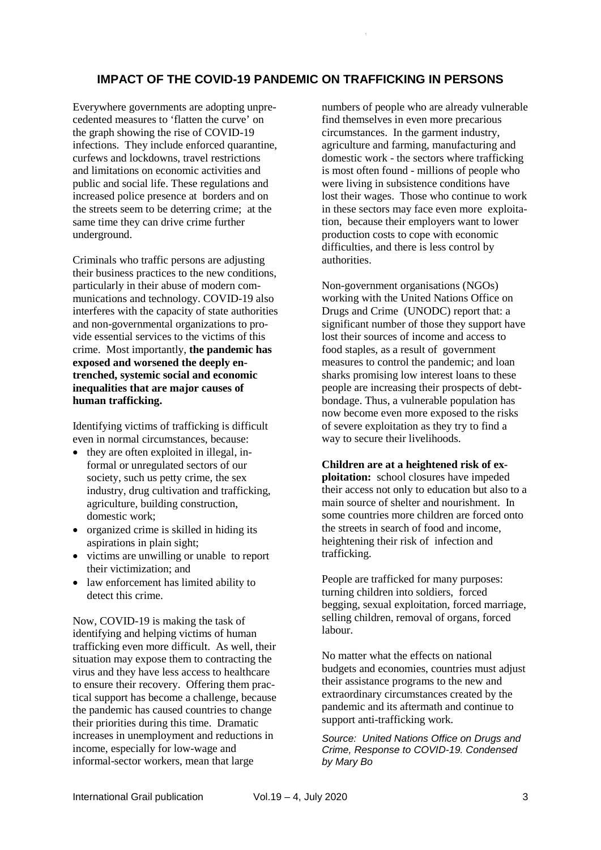## **IMPACT OF THE COVID-19 PANDEMIC ON TRAFFICKING IN PERSONS**

 $\mathbb{R}^2$ 

Everywhere governments are adopting unprecedented measures to 'flatten the curve' on the graph showing the rise of COVID-19 infections. They include enforced quarantine, curfews and lockdowns, travel restrictions and limitations on economic activities and public and social life. These regulations and increased police presence at borders and on the streets seem to be deterring crime; at the same time they can drive crime further underground.

Criminals who traffic persons are adjusting their business practices to the new conditions, particularly in their abuse of modern communications and technology. COVID-19 also interferes with the capacity of state authorities and non-governmental organizations to provide essential services to the victims of this crime. Most importantly, **the pandemic has exposed and worsened the deeply entrenched, systemic social and economic inequalities that are major causes of human trafficking.**

Identifying victims of trafficking is difficult even in normal circumstances, because:

- they are often exploited in illegal, informal or unregulated sectors of our society, such us petty crime, the sex industry, drug cultivation and trafficking, agriculture, building construction, domestic work;
- organized crime is skilled in hiding its aspirations in plain sight;
- victims are unwilling or unable to report their victimization; and
- law enforcement has limited ability to detect this crime.

Now, COVID-19 is making the task of identifying and helping victims of human trafficking even more difficult. As well, their situation may expose them to contracting the virus and they have less access to healthcare to ensure their recovery. Offering them practical support has become a challenge, because the pandemic has caused countries to change their priorities during this time. Dramatic increases in unemployment and reductions in income, especially for low-wage and informal-sector workers, mean that large

numbers of people who are already vulnerable find themselves in even more precarious circumstances. In the garment industry, agriculture and farming, manufacturing and domestic work - the sectors where trafficking is most often found - millions of people who were living in subsistence conditions have lost their wages. Those who continue to work in these sectors may face even more exploitation, because their employers want to lower production costs to cope with economic difficulties, and there is less control by authorities.

Non-government organisations (NGOs) working with the United Nations Office on Drugs and Crime (UNODC) report that: a significant number of those they support have lost their sources of income and access to food staples, as a result of government measures to control the pandemic; and loan sharks promising low interest loans to these people are increasing their prospects of debtbondage. Thus, a vulnerable population has now become even more exposed to the risks of severe exploitation as they try to find a way to secure their livelihoods.

**Children are at a heightened risk of exploitation:** school closures have impeded their access not only to education but also to a main source of shelter and nourishment. In some countries more children are forced onto the streets in search of food and income, heightening their risk of infection and trafficking.

People are trafficked for many purposes: turning children into soldiers, forced begging, sexual exploitation, forced marriage, selling children, removal of organs, forced labour.

No matter what the effects on national budgets and economies, countries must adjust their assistance programs to the new and extraordinary circumstances created by the pandemic and its aftermath and continue to support anti-trafficking work.

*Source: United Nations Office on Drugs and Crime, Response to COVID-19. Condensed by Mary Bo*

International Grail publication Vol.19 – 4, July 2020 3